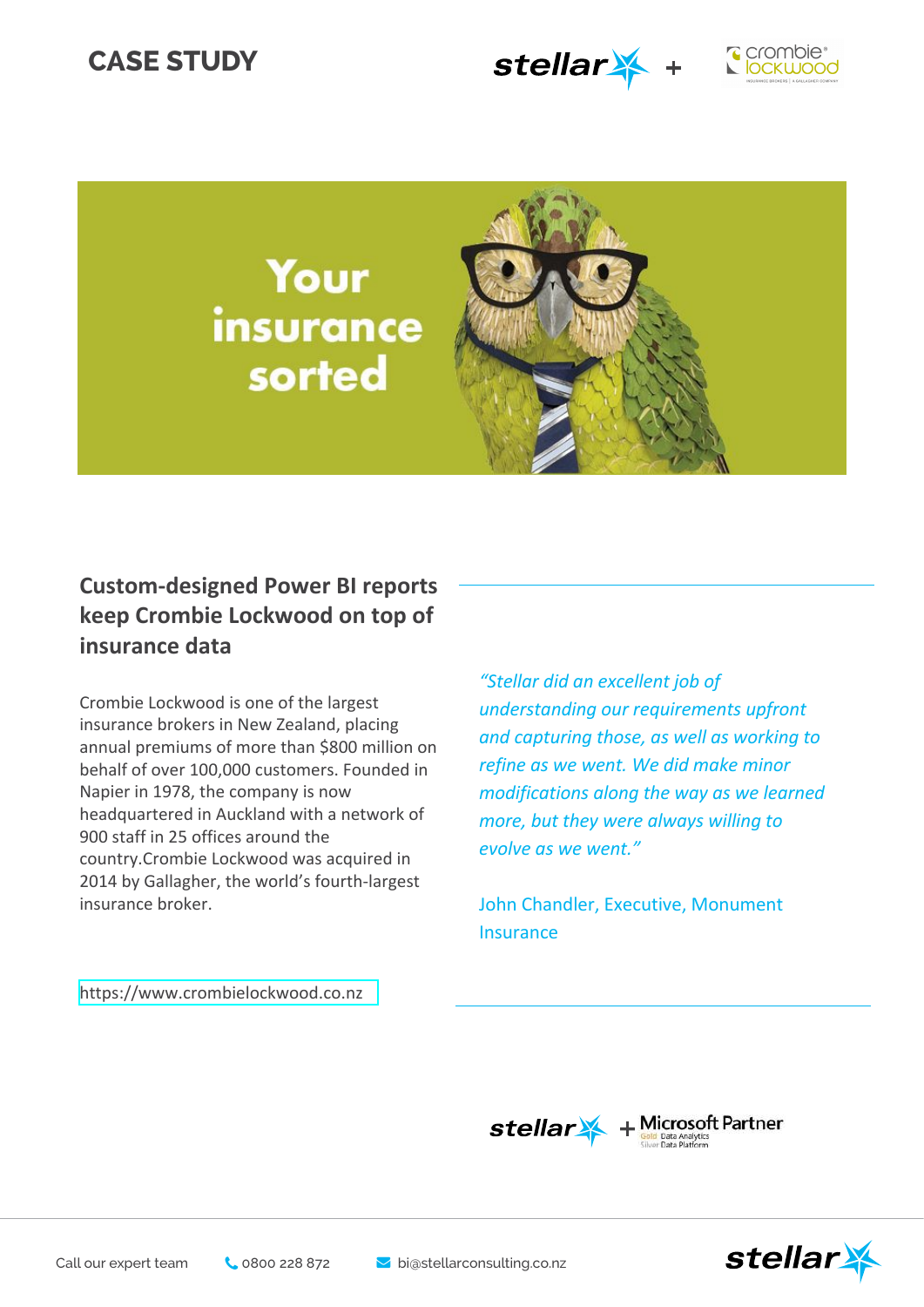# **CASE STUDY**





Your insurance sorted



## **Custom-designed Power BI reports keep Crombie Lockwood on top of insurance data**

Crombie Lockwood is one of the largest insurance brokers in New Zealand, placing annual premiums of more than \$800 million on behalf of over 100,000 customers. Founded in Napier in 1978, the company is now headquartered in Auckland with a network of 900 staff in 25 offices around the country.Crombie Lockwood was acquired in 2014 by Gallagher, the world's fourth-largest insurance broker.

*"Stellar did an excellent job of understanding our requirements upfront and capturing those, as well as working to refine as we went. We did make minor modifications along the way as we learned more, but they were always willing to evolve as we went."*

John Chandler, Executive, Monument Insurance

https://[www.crombielockwood.co.n](https://www.ojifs.com/)z